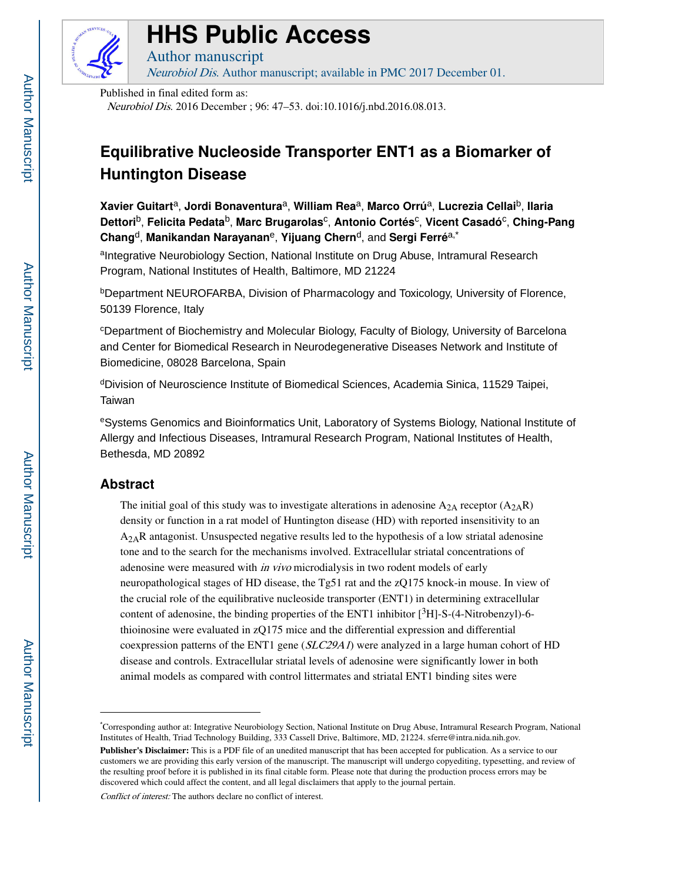

# **HHS Public Access**

Neurobiol Dis. Author manuscript; available in PMC 2017 December 01.

Published in final edited form as:

Author manuscript

Neurobiol Dis. 2016 December ; 96: 47–53. doi:10.1016/j.nbd.2016.08.013.

# **Equilibrative Nucleoside Transporter ENT1 as a Biomarker of Huntington Disease**

**Xavier Guitart**a, **Jordi Bonaventura**a, **William Rea**a, **Marco Orrú**a, **Lucrezia Cellai**b, **Ilaria Dettori**b, **Felicita Pedata**b, **Marc Brugarolas**<sup>c</sup> , **Antonio Cortés**<sup>c</sup> , **Vicent Casadó**<sup>c</sup> , **Ching-Pang Chang**d, **Manikandan Narayanan**e, **Yijuang Chern**d, and **Sergi Ferré**a,\*

alntegrative Neurobiology Section, National Institute on Drug Abuse, Intramural Research Program, National Institutes of Health, Baltimore, MD 21224

**bDepartment NEUROFARBA, Division of Pharmacology and Toxicology, University of Florence,** 50139 Florence, Italy

<sup>c</sup>Department of Biochemistry and Molecular Biology, Faculty of Biology, University of Barcelona and Center for Biomedical Research in Neurodegenerative Diseases Network and Institute of Biomedicine, 08028 Barcelona, Spain

<sup>d</sup>Division of Neuroscience Institute of Biomedical Sciences, Academia Sinica, 11529 Taipei, **Taiwan** 

<sup>e</sup>Systems Genomics and Bioinformatics Unit, Laboratory of Systems Biology, National Institute of Allergy and Infectious Diseases, Intramural Research Program, National Institutes of Health, Bethesda, MD 20892

# **Abstract**

The initial goal of this study was to investigate alterations in adenosine  $A_{2A}$  receptor  $(A_{2A}R)$ density or function in a rat model of Huntington disease (HD) with reported insensitivity to an  $A_{2A}R$  antagonist. Unsuspected negative results led to the hypothesis of a low striatal adenosine tone and to the search for the mechanisms involved. Extracellular striatal concentrations of adenosine were measured with *in vivo* microdialysis in two rodent models of early neuropathological stages of HD disease, the Tg51 rat and the zQ175 knock-in mouse. In view of the crucial role of the equilibrative nucleoside transporter (ENT1) in determining extracellular content of adenosine, the binding properties of the ENT1 inhibitor  $[^{3}H]-S-(4-Nitrobenzvl)-6$ thioinosine were evaluated in zQ175 mice and the differential expression and differential coexpression patterns of the ENT1 gene  $(SLC29A1)$  were analyzed in a large human cohort of HD disease and controls. Extracellular striatal levels of adenosine were significantly lower in both animal models as compared with control littermates and striatal ENT1 binding sites were

Conflict of interest: The authors declare no conflict of interest.

<sup>\*</sup>Corresponding author at: Integrative Neurobiology Section, National Institute on Drug Abuse, Intramural Research Program, National Institutes of Health, Triad Technology Building, 333 Cassell Drive, Baltimore, MD, 21224. sferre@intra.nida.nih.gov.

**Publisher's Disclaimer:** This is a PDF file of an unedited manuscript that has been accepted for publication. As a service to our customers we are providing this early version of the manuscript. The manuscript will undergo copyediting, typesetting, and review of the resulting proof before it is published in its final citable form. Please note that during the production process errors may be discovered which could affect the content, and all legal disclaimers that apply to the journal pertain.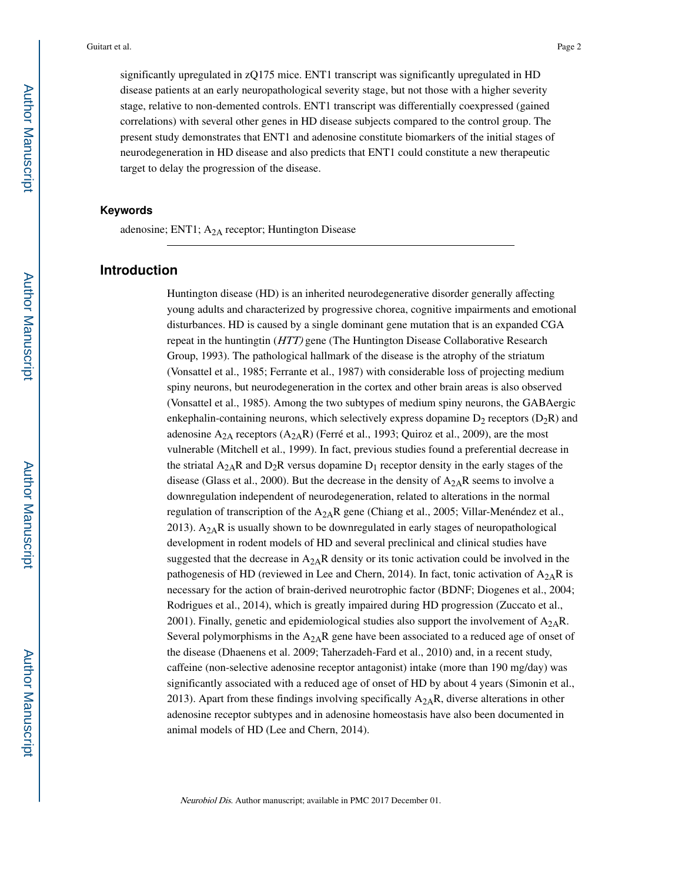significantly upregulated in zQ175 mice. ENT1 transcript was significantly upregulated in HD disease patients at an early neuropathological severity stage, but not those with a higher severity stage, relative to non-demented controls. ENT1 transcript was differentially coexpressed (gained correlations) with several other genes in HD disease subjects compared to the control group. The present study demonstrates that ENT1 and adenosine constitute biomarkers of the initial stages of neurodegeneration in HD disease and also predicts that ENT1 could constitute a new therapeutic target to delay the progression of the disease.

#### **Keywords**

adenosine; ENT1;  $A_{2A}$  receptor; Huntington Disease

# **Introduction**

Huntington disease (HD) is an inherited neurodegenerative disorder generally affecting young adults and characterized by progressive chorea, cognitive impairments and emotional disturbances. HD is caused by a single dominant gene mutation that is an expanded CGA repeat in the huntingtin (HTT) gene (The Huntington Disease Collaborative Research Group, 1993). The pathological hallmark of the disease is the atrophy of the striatum (Vonsattel et al., 1985; Ferrante et al., 1987) with considerable loss of projecting medium spiny neurons, but neurodegeneration in the cortex and other brain areas is also observed (Vonsattel et al., 1985). Among the two subtypes of medium spiny neurons, the GABAergic enkephalin-containing neurons, which selectively express dopamine  $D_2$  receptors ( $D_2R$ ) and adenosine  $A_{2A}$  receptors  $(A_{2A}R)$  (Ferré et al., 1993; Quiroz et al., 2009), are the most vulnerable (Mitchell et al., 1999). In fact, previous studies found a preferential decrease in the striatal  $A_{2A}R$  and  $D_2R$  versus dopamine  $D_1$  receptor density in the early stages of the disease (Glass et al., 2000). But the decrease in the density of  $A_{2A}R$  seems to involve a downregulation independent of neurodegeneration, related to alterations in the normal regulation of transcription of the  $A_{2A}R$  gene (Chiang et al., 2005; Villar-Menéndez et al., 2013).  $A_{2A}R$  is usually shown to be downregulated in early stages of neuropathological development in rodent models of HD and several preclinical and clinical studies have suggested that the decrease in  $A_{2A}R$  density or its tonic activation could be involved in the pathogenesis of HD (reviewed in Lee and Chern, 2014). In fact, tonic activation of  $A_{2A}R$  is necessary for the action of brain-derived neurotrophic factor (BDNF; Diogenes et al., 2004; Rodrigues et al., 2014), which is greatly impaired during HD progression (Zuccato et al., 2001). Finally, genetic and epidemiological studies also support the involvement of  $A_{2A}R$ . Several polymorphisms in the  $A_{2A}R$  gene have been associated to a reduced age of onset of the disease (Dhaenens et al. 2009; Taherzadeh-Fard et al., 2010) and, in a recent study, caffeine (non-selective adenosine receptor antagonist) intake (more than 190 mg/day) was significantly associated with a reduced age of onset of HD by about 4 years (Simonin et al., 2013). Apart from these findings involving specifically  $A_{2A}R$ , diverse alterations in other adenosine receptor subtypes and in adenosine homeostasis have also been documented in animal models of HD (Lee and Chern, 2014).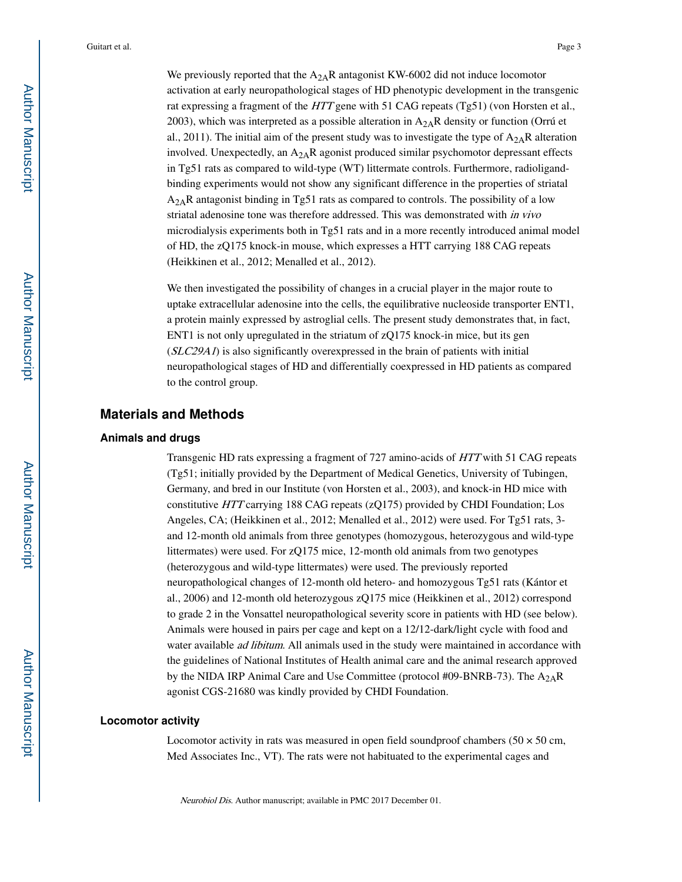We previously reported that the  $A_{2A}R$  antagonist KW-6002 did not induce locomotor activation at early neuropathological stages of HD phenotypic development in the transgenic rat expressing a fragment of the HTT gene with 51 CAG repeats (Tg51) (von Horsten et al., 2003), which was interpreted as a possible alteration in  $A_{2A}R$  density or function (Orrú et al., 2011). The initial aim of the present study was to investigate the type of  $A_{2A}R$  alteration involved. Unexpectedly, an  $A_{2A}R$  agonist produced similar psychomotor depressant effects in Tg51 rats as compared to wild-type (WT) littermate controls. Furthermore, radioligandbinding experiments would not show any significant difference in the properties of striatal  $A_{2A}R$  antagonist binding in Tg51 rats as compared to controls. The possibility of a low striatal adenosine tone was therefore addressed. This was demonstrated with in vivo microdialysis experiments both in Tg51 rats and in a more recently introduced animal model of HD, the zQ175 knock-in mouse, which expresses a HTT carrying 188 CAG repeats (Heikkinen et al., 2012; Menalled et al., 2012).

We then investigated the possibility of changes in a crucial player in the major route to uptake extracellular adenosine into the cells, the equilibrative nucleoside transporter ENT1, a protein mainly expressed by astroglial cells. The present study demonstrates that, in fact, ENT1 is not only upregulated in the striatum of zQ175 knock-in mice, but its gen  $(SLC29A1)$  is also significantly overexpressed in the brain of patients with initial neuropathological stages of HD and differentially coexpressed in HD patients as compared to the control group.

# **Materials and Methods**

#### **Animals and drugs**

Transgenic HD rats expressing a fragment of 727 amino-acids of HTT with 51 CAG repeats (Tg51; initially provided by the Department of Medical Genetics, University of Tubingen, Germany, and bred in our Institute (von Horsten et al., 2003), and knock-in HD mice with constitutive HTT carrying 188 CAG repeats (zQ175) provided by CHDI Foundation; Los Angeles, CA; (Heikkinen et al., 2012; Menalled et al., 2012) were used. For Tg51 rats, 3 and 12-month old animals from three genotypes (homozygous, heterozygous and wild-type littermates) were used. For zQ175 mice, 12-month old animals from two genotypes (heterozygous and wild-type littermates) were used. The previously reported neuropathological changes of 12-month old hetero- and homozygous Tg51 rats (Kántor et al., 2006) and 12-month old heterozygous zQ175 mice (Heikkinen et al., 2012) correspond to grade 2 in the Vonsattel neuropathological severity score in patients with HD (see below). Animals were housed in pairs per cage and kept on a 12/12-dark/light cycle with food and water available *ad libitum*. All animals used in the study were maintained in accordance with the guidelines of National Institutes of Health animal care and the animal research approved by the NIDA IRP Animal Care and Use Committee (protocol #09-BNRB-73). The  $A_{2A}R$ agonist CGS-21680 was kindly provided by CHDI Foundation.

#### **Locomotor activity**

Locomotor activity in rats was measured in open field soundproof chambers ( $50 \times 50$  cm, Med Associates Inc., VT). The rats were not habituated to the experimental cages and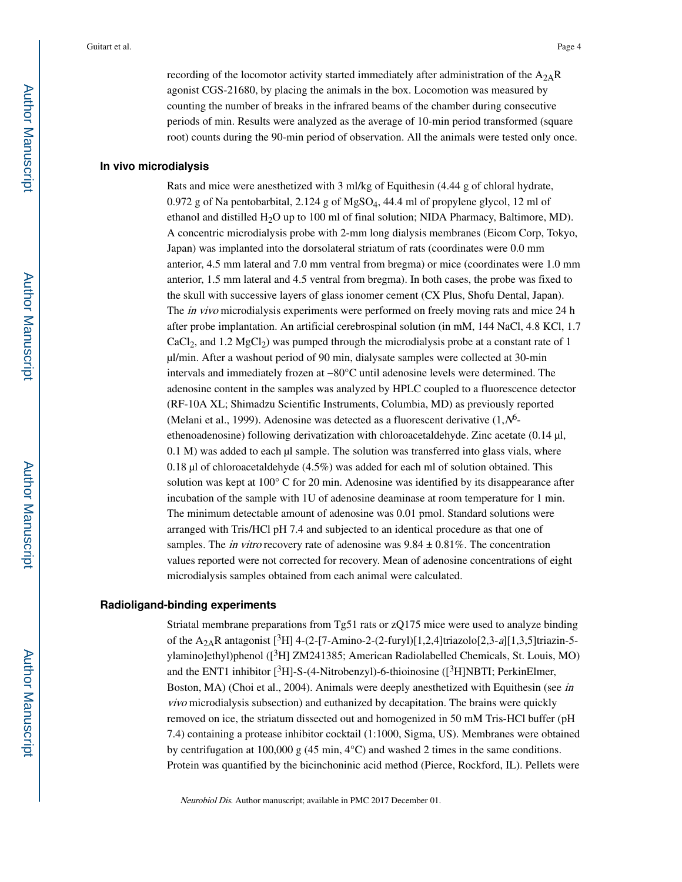## **In vivo microdialysis**

Rats and mice were anesthetized with 3 ml/kg of Equithesin (4.44 g of chloral hydrate, 0.972 g of Na pentobarbital, 2.124 g of MgSO4, 44.4 ml of propylene glycol, 12 ml of ethanol and distilled  $H_2O$  up to 100 ml of final solution; NIDA Pharmacy, Baltimore, MD). A concentric microdialysis probe with 2-mm long dialysis membranes (Eicom Corp, Tokyo, Japan) was implanted into the dorsolateral striatum of rats (coordinates were 0.0 mm anterior, 4.5 mm lateral and 7.0 mm ventral from bregma) or mice (coordinates were 1.0 mm anterior, 1.5 mm lateral and 4.5 ventral from bregma). In both cases, the probe was fixed to the skull with successive layers of glass ionomer cement (CX Plus, Shofu Dental, Japan). The *in vivo* microdialysis experiments were performed on freely moving rats and mice 24 h after probe implantation. An artificial cerebrospinal solution (in mM, 144 NaCl, 4.8 KCl, 1.7  $CaCl<sub>2</sub>$ , and 1.2 MgCl<sub>2</sub>) was pumped through the microdialysis probe at a constant rate of 1 µl/min. After a washout period of 90 min, dialysate samples were collected at 30-min intervals and immediately frozen at −80°C until adenosine levels were determined. The adenosine content in the samples was analyzed by HPLC coupled to a fluorescence detector (RF-10A XL; Shimadzu Scientific Instruments, Columbia, MD) as previously reported (Melani et al., 1999). Adenosine was detected as a fluorescent derivative  $(1, N<sup>6</sup>$ ethenoadenosine) following derivatization with chloroacetaldehyde. Zinc acetate (0.14 µl,  $0.1$  M) was added to each  $\mu$  sample. The solution was transferred into glass vials, where 0.18  $\mu$ l of chloroacetaldehyde (4.5%) was added for each ml of solution obtained. This solution was kept at 100° C for 20 min. Adenosine was identified by its disappearance after incubation of the sample with 1U of adenosine deaminase at room temperature for 1 min. The minimum detectable amount of adenosine was 0.01 pmol. Standard solutions were arranged with Tris/HCl pH 7.4 and subjected to an identical procedure as that one of samples. The *in vitro* recovery rate of adenosine was  $9.84 \pm 0.81\%$ . The concentration values reported were not corrected for recovery. Mean of adenosine concentrations of eight microdialysis samples obtained from each animal were calculated.

#### **Radioligand-binding experiments**

Striatal membrane preparations from Tg51 rats or zQ175 mice were used to analyze binding of the  $A_{2A}R$  antagonist [<sup>3</sup>H] 4-(2-[7-Amino-2-(2-furyl)[1,2,4]triazolo[2,3-a][1,3,5]triazin-5ylamino]ethyl)phenol ([3H] ZM241385; American Radiolabelled Chemicals, St. Louis, MO) and the ENT1 inhibitor  $[{}^{3}H]$ -S-(4-Nitrobenzyl)-6-thioinosine  $({}^{3}H]$ NBTI; PerkinElmer, Boston, MA) (Choi et al., 2004). Animals were deeply anesthetized with Equithesin (see in vivo microdialysis subsection) and euthanized by decapitation. The brains were quickly removed on ice, the striatum dissected out and homogenized in 50 mM Tris-HCl buffer (pH 7.4) containing a protease inhibitor cocktail (1:1000, Sigma, US). Membranes were obtained by centrifugation at 100,000 g (45 min,  $4^{\circ}$ C) and washed 2 times in the same conditions. Protein was quantified by the bicinchoninic acid method (Pierce, Rockford, IL). Pellets were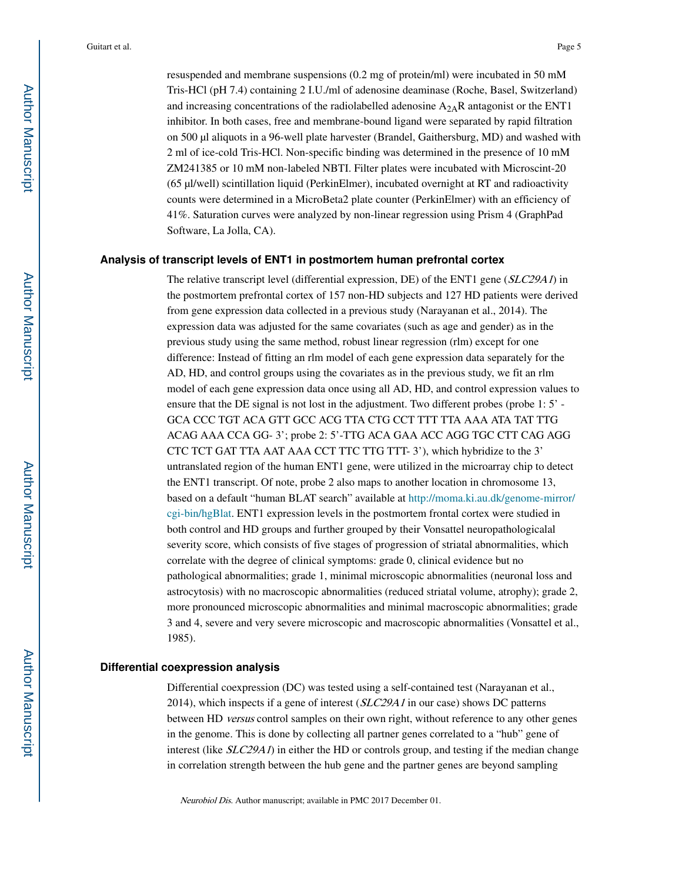resuspended and membrane suspensions (0.2 mg of protein/ml) were incubated in 50 mM Tris-HCl (pH 7.4) containing 2 I.U./ml of adenosine deaminase (Roche, Basel, Switzerland) and increasing concentrations of the radiolabelled adenosine  $A_{2A}R$  antagonist or the ENT1 inhibitor. In both cases, free and membrane-bound ligand were separated by rapid filtration on 500 µl aliquots in a 96-well plate harvester (Brandel, Gaithersburg, MD) and washed with 2 ml of ice-cold Tris-HCl. Non-specific binding was determined in the presence of 10 mM ZM241385 or 10 mM non-labeled NBTI. Filter plates were incubated with Microscint-20 (65 µl/well) scintillation liquid (PerkinElmer), incubated overnight at RT and radioactivity counts were determined in a MicroBeta2 plate counter (PerkinElmer) with an efficiency of 41%. Saturation curves were analyzed by non-linear regression using Prism 4 (GraphPad Software, La Jolla, CA).

## **Analysis of transcript levels of ENT1 in postmortem human prefrontal cortex**

The relative transcript level (differential expression, DE) of the ENT1 gene (SLC29A1) in the postmortem prefrontal cortex of 157 non-HD subjects and 127 HD patients were derived from gene expression data collected in a previous study (Narayanan et al., 2014). The expression data was adjusted for the same covariates (such as age and gender) as in the previous study using the same method, robust linear regression (rlm) except for one difference: Instead of fitting an rlm model of each gene expression data separately for the AD, HD, and control groups using the covariates as in the previous study, we fit an rlm model of each gene expression data once using all AD, HD, and control expression values to ensure that the DE signal is not lost in the adjustment. Two different probes (probe 1: 5' - GCA CCC TGT ACA GTT GCC ACG TTA CTG CCT TTT TTA AAA ATA TAT TTG ACAG AAA CCA GG- 3'; probe 2: 5'-TTG ACA GAA ACC AGG TGC CTT CAG AGG CTC TCT GAT TTA AAT AAA CCT TTC TTG TTT- 3'), which hybridize to the 3' untranslated region of the human ENT1 gene, were utilized in the microarray chip to detect the ENT1 transcript. Of note, probe 2 also maps to another location in chromosome 13, based on a default "human BLAT search" available at http://moma.ki.au.dk/genome-mirror/ cgi-bin/hgBlat. ENT1 expression levels in the postmortem frontal cortex were studied in both control and HD groups and further grouped by their Vonsattel neuropathologicalal severity score, which consists of five stages of progression of striatal abnormalities, which correlate with the degree of clinical symptoms: grade 0, clinical evidence but no pathological abnormalities; grade 1, minimal microscopic abnormalities (neuronal loss and astrocytosis) with no macroscopic abnormalities (reduced striatal volume, atrophy); grade 2, more pronounced microscopic abnormalities and minimal macroscopic abnormalities; grade 3 and 4, severe and very severe microscopic and macroscopic abnormalities (Vonsattel et al., 1985).

#### **Differential coexpression analysis**

Differential coexpression (DC) was tested using a self-contained test (Narayanan et al., 2014), which inspects if a gene of interest (SLC29A1 in our case) shows DC patterns between HD *versus* control samples on their own right, without reference to any other genes in the genome. This is done by collecting all partner genes correlated to a "hub" gene of interest (like  $SLC29A1$ ) in either the HD or controls group, and testing if the median change in correlation strength between the hub gene and the partner genes are beyond sampling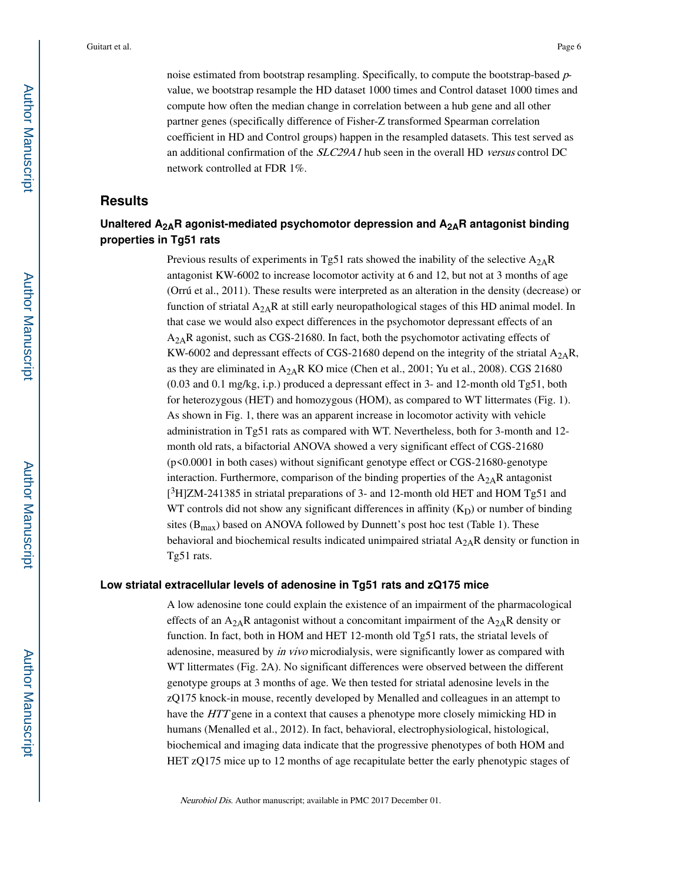noise estimated from bootstrap resampling. Specifically, to compute the bootstrap-based  $p$ value, we bootstrap resample the HD dataset 1000 times and Control dataset 1000 times and compute how often the median change in correlation between a hub gene and all other partner genes (specifically difference of Fisher-Z transformed Spearman correlation coefficient in HD and Control groups) happen in the resampled datasets. This test served as an additional confirmation of the SLC29A1 hub seen in the overall HD versus control DC network controlled at FDR 1%.

# **Results**

# **Unaltered A2AR agonist-mediated psychomotor depression and A2AR antagonist binding properties in Tg51 rats**

Previous results of experiments in Tg51 rats showed the inability of the selective  $A_{2A}R$ antagonist KW-6002 to increase locomotor activity at 6 and 12, but not at 3 months of age (Orrú et al., 2011). These results were interpreted as an alteration in the density (decrease) or function of striatal  $A_{2A}R$  at still early neuropathological stages of this HD animal model. In that case we would also expect differences in the psychomotor depressant effects of an  $A_{2A}R$  agonist, such as CGS-21680. In fact, both the psychomotor activating effects of KW-6002 and depressant effects of CGS-21680 depend on the integrity of the striatal  $A_{2A}R$ , as they are eliminated in  $A_{2A}R$  KO mice (Chen et al., 2001; Yu et al., 2008). CGS 21680 (0.03 and 0.1 mg/kg, i.p.) produced a depressant effect in 3- and 12-month old Tg51, both for heterozygous (HET) and homozygous (HOM), as compared to WT littermates (Fig. 1). As shown in Fig. 1, there was an apparent increase in locomotor activity with vehicle administration in Tg51 rats as compared with WT. Nevertheless, both for 3-month and 12 month old rats, a bifactorial ANOVA showed a very significant effect of CGS-21680 (p<0.0001 in both cases) without significant genotype effect or CGS-21680-genotype interaction. Furthermore, comparison of the binding properties of the  $A_{2A}R$  antagonist [ <sup>3</sup>H]ZM-241385 in striatal preparations of 3- and 12-month old HET and HOM Tg51 and WT controls did not show any significant differences in affinity  $(K_D)$  or number of binding sites ( $B_{\text{max}}$ ) based on ANOVA followed by Dunnett's post hoc test (Table 1). These behavioral and biochemical results indicated unimpaired striatal  $A_{2A}R$  density or function in Tg51 rats.

#### **Low striatal extracellular levels of adenosine in Tg51 rats and zQ175 mice**

A low adenosine tone could explain the existence of an impairment of the pharmacological effects of an  $A_{2A}R$  antagonist without a concomitant impairment of the  $A_{2A}R$  density or function. In fact, both in HOM and HET 12-month old Tg51 rats, the striatal levels of adenosine, measured by in vivo microdialysis, were significantly lower as compared with WT littermates (Fig. 2A). No significant differences were observed between the different genotype groups at 3 months of age. We then tested for striatal adenosine levels in the zQ175 knock-in mouse, recently developed by Menalled and colleagues in an attempt to have the HTT gene in a context that causes a phenotype more closely mimicking HD in humans (Menalled et al., 2012). In fact, behavioral, electrophysiological, histological, biochemical and imaging data indicate that the progressive phenotypes of both HOM and HET zQ175 mice up to 12 months of age recapitulate better the early phenotypic stages of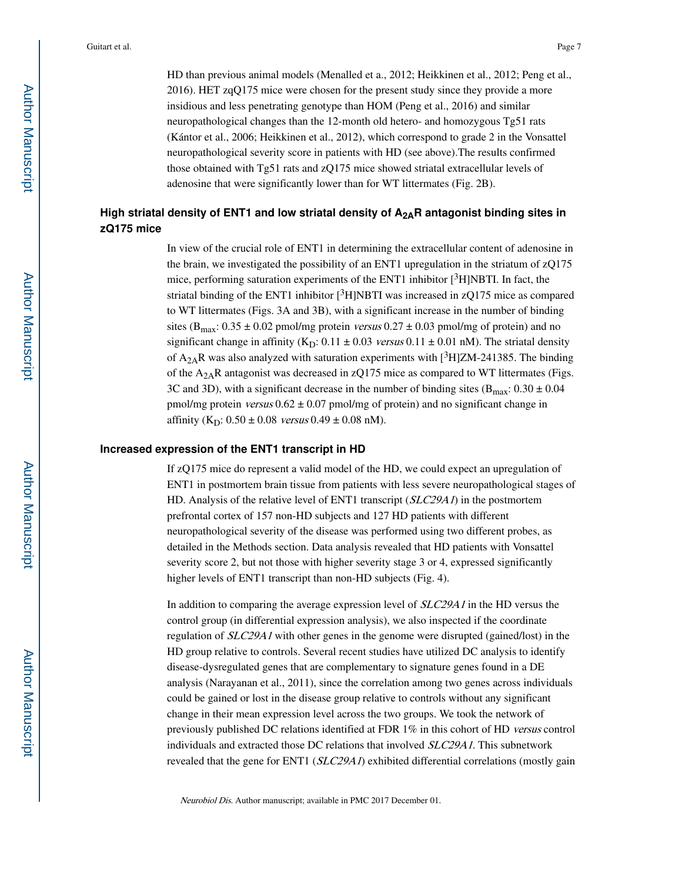HD than previous animal models (Menalled et a., 2012; Heikkinen et al., 2012; Peng et al., 2016). HET zqQ175 mice were chosen for the present study since they provide a more insidious and less penetrating genotype than HOM (Peng et al., 2016) and similar neuropathological changes than the 12-month old hetero- and homozygous Tg51 rats (Kántor et al., 2006; Heikkinen et al., 2012), which correspond to grade 2 in the Vonsattel neuropathological severity score in patients with HD (see above).The results confirmed those obtained with Tg51 rats and zQ175 mice showed striatal extracellular levels of adenosine that were significantly lower than for WT littermates (Fig. 2B).

# **High striatal density of ENT1 and low striatal density of A2AR antagonist binding sites in zQ175 mice**

In view of the crucial role of ENT1 in determining the extracellular content of adenosine in the brain, we investigated the possibility of an ENT1 upregulation in the striatum of zQ175 mice, performing saturation experiments of the ENT1 inhibitor  $[3H]$ NBTI. In fact, the striatal binding of the ENT1 inhibitor  $\binom{3}{1}$ NBTI was increased in zQ175 mice as compared to WT littermates (Figs. 3A and 3B), with a significant increase in the number of binding sites ( $B_{\text{max}}$ : 0.35 ± 0.02 pmol/mg protein *versus* 0.27 ± 0.03 pmol/mg of protein) and no significant change in affinity (K<sub>D</sub>:  $0.11 \pm 0.03$  versus  $0.11 \pm 0.01$  nM). The striatal density of  $A_{2A}R$  was also analyzed with saturation experiments with [ $3H$ ]ZM-241385. The binding of the  $A_{2A}R$  antagonist was decreased in zQ175 mice as compared to WT littermates (Figs. 3C and 3D), with a significant decrease in the number of binding sites ( $B_{\text{max}}$ : 0.30  $\pm$  0.04 pmol/mg protein versus  $0.62 \pm 0.07$  pmol/mg of protein) and no significant change in affinity  $(K_D: 0.50 \pm 0.08$  versus  $0.49 \pm 0.08$  nM).

#### **Increased expression of the ENT1 transcript in HD**

If zQ175 mice do represent a valid model of the HD, we could expect an upregulation of ENT1 in postmortem brain tissue from patients with less severe neuropathological stages of HD. Analysis of the relative level of ENT1 transcript (SLC29A1) in the postmortem prefrontal cortex of 157 non-HD subjects and 127 HD patients with different neuropathological severity of the disease was performed using two different probes, as detailed in the Methods section. Data analysis revealed that HD patients with Vonsattel severity score 2, but not those with higher severity stage 3 or 4, expressed significantly higher levels of ENT1 transcript than non-HD subjects (Fig. 4).

In addition to comparing the average expression level of SLC29A1 in the HD versus the control group (in differential expression analysis), we also inspected if the coordinate regulation of SLC29A1 with other genes in the genome were disrupted (gained/lost) in the HD group relative to controls. Several recent studies have utilized DC analysis to identify disease-dysregulated genes that are complementary to signature genes found in a DE analysis (Narayanan et al., 2011), since the correlation among two genes across individuals could be gained or lost in the disease group relative to controls without any significant change in their mean expression level across the two groups. We took the network of previously published DC relations identified at FDR 1% in this cohort of HD versus control individuals and extracted those DC relations that involved SLC29A1. This subnetwork revealed that the gene for ENT1 (*SLC29A1*) exhibited differential correlations (mostly gain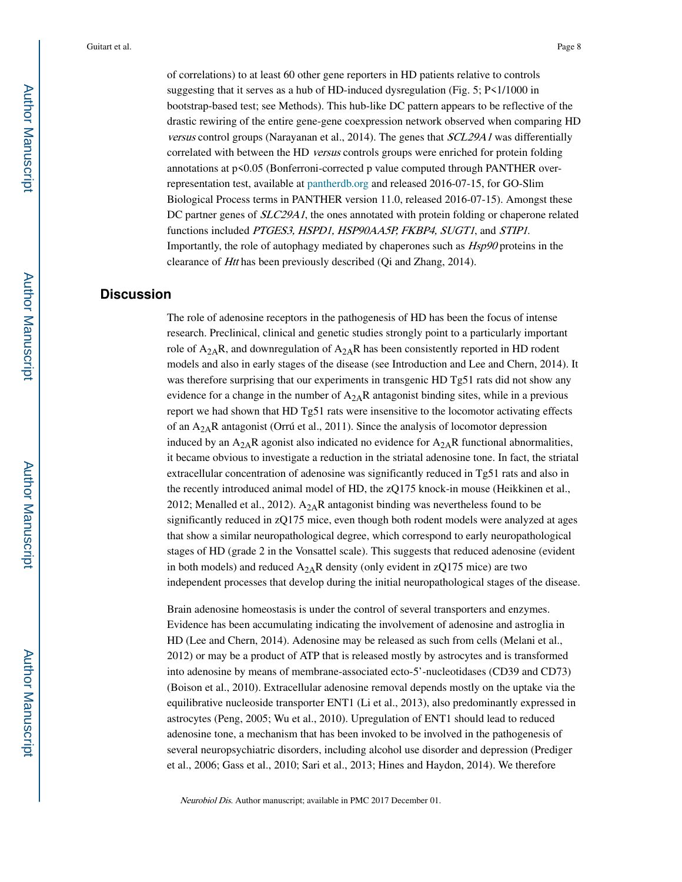of correlations) to at least 60 other gene reporters in HD patients relative to controls suggesting that it serves as a hub of HD-induced dysregulation (Fig. 5; P<1/1000 in bootstrap-based test; see Methods). This hub-like DC pattern appears to be reflective of the drastic rewiring of the entire gene-gene coexpression network observed when comparing HD versus control groups (Narayanan et al., 2014). The genes that SCL29A1 was differentially correlated with between the HD versus controls groups were enriched for protein folding annotations at p<0.05 (Bonferroni-corrected p value computed through PANTHER overrepresentation test, available at pantherdb.org and released 2016-07-15, for GO-Slim Biological Process terms in PANTHER version 11.0, released 2016-07-15). Amongst these DC partner genes of *SLC29A1*, the ones annotated with protein folding or chaperone related functions included PTGES3, HSPD1, HSP90AA5P, FKBP4, SUGT1, and STIP1. Importantly, the role of autophagy mediated by chaperones such as Hsp90 proteins in the clearance of Htt has been previously described (Qi and Zhang, 2014).

# **Discussion**

The role of adenosine receptors in the pathogenesis of HD has been the focus of intense research. Preclinical, clinical and genetic studies strongly point to a particularly important role of  $A_{2A}R$ , and downregulation of  $A_{2A}R$  has been consistently reported in HD rodent models and also in early stages of the disease (see Introduction and Lee and Chern, 2014). It was therefore surprising that our experiments in transgenic HD Tg51 rats did not show any evidence for a change in the number of  $A_{2A}R$  antagonist binding sites, while in a previous report we had shown that HD Tg51 rats were insensitive to the locomotor activating effects of an  $A_{2A}R$  antagonist (Orrú et al., 2011). Since the analysis of locomotor depression induced by an  $A_{2A}R$  agonist also indicated no evidence for  $A_{2A}R$  functional abnormalities, it became obvious to investigate a reduction in the striatal adenosine tone. In fact, the striatal extracellular concentration of adenosine was significantly reduced in Tg51 rats and also in the recently introduced animal model of HD, the zQ175 knock-in mouse (Heikkinen et al., 2012; Menalled et al., 2012).  $A_{2A}R$  antagonist binding was nevertheless found to be significantly reduced in zQ175 mice, even though both rodent models were analyzed at ages that show a similar neuropathological degree, which correspond to early neuropathological stages of HD (grade 2 in the Vonsattel scale). This suggests that reduced adenosine (evident in both models) and reduced  $A_{2A}R$  density (only evident in zQ175 mice) are two independent processes that develop during the initial neuropathological stages of the disease.

Brain adenosine homeostasis is under the control of several transporters and enzymes. Evidence has been accumulating indicating the involvement of adenosine and astroglia in HD (Lee and Chern, 2014). Adenosine may be released as such from cells (Melani et al., 2012) or may be a product of ATP that is released mostly by astrocytes and is transformed into adenosine by means of membrane-associated ecto-5'-nucleotidases (CD39 and CD73) (Boison et al., 2010). Extracellular adenosine removal depends mostly on the uptake via the equilibrative nucleoside transporter ENT1 (Li et al., 2013), also predominantly expressed in astrocytes (Peng, 2005; Wu et al., 2010). Upregulation of ENT1 should lead to reduced adenosine tone, a mechanism that has been invoked to be involved in the pathogenesis of several neuropsychiatric disorders, including alcohol use disorder and depression (Prediger et al., 2006; Gass et al., 2010; Sari et al., 2013; Hines and Haydon, 2014). We therefore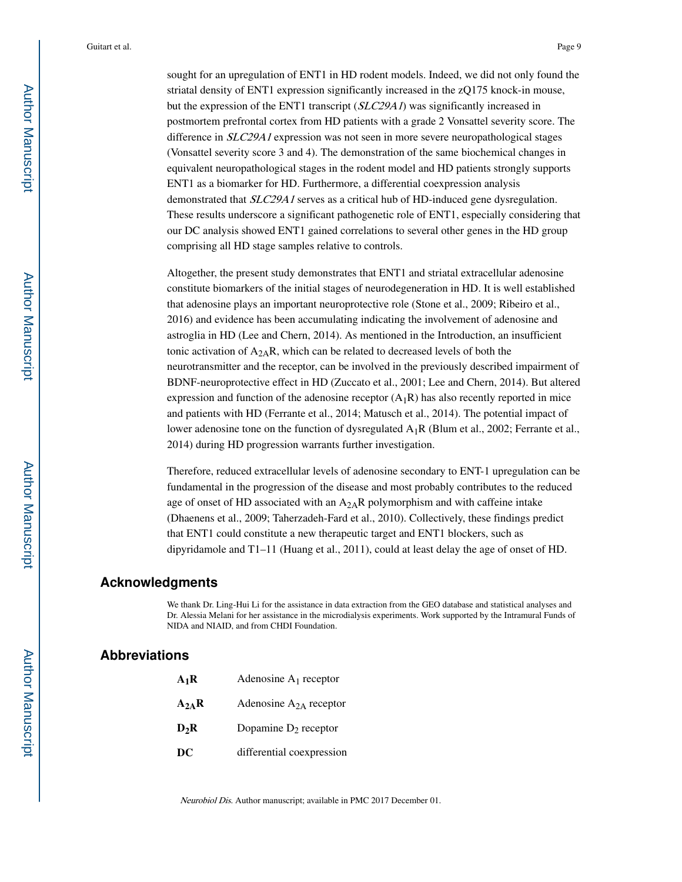sought for an upregulation of ENT1 in HD rodent models. Indeed, we did not only found the striatal density of ENT1 expression significantly increased in the zQ175 knock-in mouse, but the expression of the ENT1 transcript (*SLC29A1*) was significantly increased in postmortem prefrontal cortex from HD patients with a grade 2 Vonsattel severity score. The difference in *SLC29A1* expression was not seen in more severe neuropathological stages (Vonsattel severity score 3 and 4). The demonstration of the same biochemical changes in equivalent neuropathological stages in the rodent model and HD patients strongly supports ENT1 as a biomarker for HD. Furthermore, a differential coexpression analysis demonstrated that SLC29A1 serves as a critical hub of HD-induced gene dysregulation. These results underscore a significant pathogenetic role of ENT1, especially considering that our DC analysis showed ENT1 gained correlations to several other genes in the HD group comprising all HD stage samples relative to controls.

Altogether, the present study demonstrates that ENT1 and striatal extracellular adenosine constitute biomarkers of the initial stages of neurodegeneration in HD. It is well established that adenosine plays an important neuroprotective role (Stone et al., 2009; Ribeiro et al., 2016) and evidence has been accumulating indicating the involvement of adenosine and astroglia in HD (Lee and Chern, 2014). As mentioned in the Introduction, an insufficient tonic activation of  $A_{2A}R$ , which can be related to decreased levels of both the neurotransmitter and the receptor, can be involved in the previously described impairment of BDNF-neuroprotective effect in HD (Zuccato et al., 2001; Lee and Chern, 2014). But altered expression and function of the adenosine receptor  $(A_1R)$  has also recently reported in mice and patients with HD (Ferrante et al., 2014; Matusch et al., 2014). The potential impact of lower adenosine tone on the function of dysregulated  $A_1R$  (Blum et al., 2002; Ferrante et al., 2014) during HD progression warrants further investigation.

Therefore, reduced extracellular levels of adenosine secondary to ENT-1 upregulation can be fundamental in the progression of the disease and most probably contributes to the reduced age of onset of HD associated with an  $A_{2A}R$  polymorphism and with caffeine intake (Dhaenens et al., 2009; Taherzadeh-Fard et al., 2010). Collectively, these findings predict that ENT1 could constitute a new therapeutic target and ENT1 blockers, such as dipyridamole and T1–11 (Huang et al., 2011), could at least delay the age of onset of HD.

# **Acknowledgments**

We thank Dr. Ling-Hui Li for the assistance in data extraction from the GEO database and statistical analyses and Dr. Alessia Melani for her assistance in the microdialysis experiments. Work supported by the Intramural Funds of NIDA and NIAID, and from CHDI Foundation.

# **Abbreviations**

| $A_1R$    | Adenosine $A_1$ receptor    |
|-----------|-----------------------------|
| $A_{2A}R$ | Adenosine $A_{2A}$ receptor |
| $D_2R$    | Dopamine $D_2$ receptor     |
| DC        | differential coexpression   |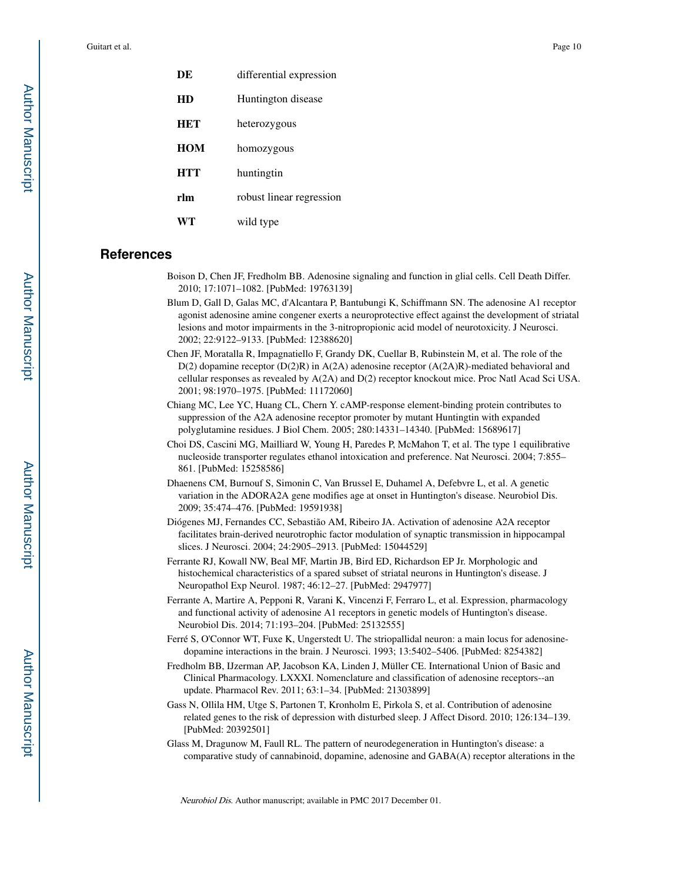| DE         | differential expression  |
|------------|--------------------------|
| HD         | Huntington disease       |
| <b>HET</b> | heterozygous             |
| <b>HOM</b> | homozygous               |
| <b>HTT</b> | huntingtin               |
| rlm        | robust linear regression |
| WT         | wild type                |
|            |                          |

# **References**

- Boison D, Chen JF, Fredholm BB. Adenosine signaling and function in glial cells. Cell Death Differ. 2010; 17:1071–1082. [PubMed: 19763139]
- Blum D, Gall D, Galas MC, d'Alcantara P, Bantubungi K, Schiffmann SN. The adenosine A1 receptor agonist adenosine amine congener exerts a neuroprotective effect against the development of striatal lesions and motor impairments in the 3-nitropropionic acid model of neurotoxicity. J Neurosci. 2002; 22:9122–9133. [PubMed: 12388620]
- Chen JF, Moratalla R, Impagnatiello F, Grandy DK, Cuellar B, Rubinstein M, et al. The role of the D(2) dopamine receptor (D(2)R) in A(2A) adenosine receptor (A(2A)R)-mediated behavioral and cellular responses as revealed by A(2A) and D(2) receptor knockout mice. Proc Natl Acad Sci USA. 2001; 98:1970–1975. [PubMed: 11172060]
- Chiang MC, Lee YC, Huang CL, Chern Y. cAMP-response element-binding protein contributes to suppression of the A2A adenosine receptor promoter by mutant Huntingtin with expanded polyglutamine residues. J Biol Chem. 2005; 280:14331–14340. [PubMed: 15689617]
- Choi DS, Cascini MG, Mailliard W, Young H, Paredes P, McMahon T, et al. The type 1 equilibrative nucleoside transporter regulates ethanol intoxication and preference. Nat Neurosci. 2004; 7:855– 861. [PubMed: 15258586]
- Dhaenens CM, Burnouf S, Simonin C, Van Brussel E, Duhamel A, Defebvre L, et al. A genetic variation in the ADORA2A gene modifies age at onset in Huntington's disease. Neurobiol Dis. 2009; 35:474–476. [PubMed: 19591938]
- Diógenes MJ, Fernandes CC, Sebastião AM, Ribeiro JA. Activation of adenosine A2A receptor facilitates brain-derived neurotrophic factor modulation of synaptic transmission in hippocampal slices. J Neurosci. 2004; 24:2905–2913. [PubMed: 15044529]
- Ferrante RJ, Kowall NW, Beal MF, Martin JB, Bird ED, Richardson EP Jr. Morphologic and histochemical characteristics of a spared subset of striatal neurons in Huntington's disease. J Neuropathol Exp Neurol. 1987; 46:12–27. [PubMed: 2947977]
- Ferrante A, Martire A, Pepponi R, Varani K, Vincenzi F, Ferraro L, et al. Expression, pharmacology and functional activity of adenosine A1 receptors in genetic models of Huntington's disease. Neurobiol Dis. 2014; 71:193–204. [PubMed: 25132555]
- Ferré S, O'Connor WT, Fuxe K, Ungerstedt U. The striopallidal neuron: a main locus for adenosinedopamine interactions in the brain. J Neurosci. 1993; 13:5402–5406. [PubMed: 8254382]
- Fredholm BB, IJzerman AP, Jacobson KA, Linden J, Müller CE. International Union of Basic and Clinical Pharmacology. LXXXI. Nomenclature and classification of adenosine receptors--an update. Pharmacol Rev. 2011; 63:1–34. [PubMed: 21303899]
- Gass N, Ollila HM, Utge S, Partonen T, Kronholm E, Pirkola S, et al. Contribution of adenosine related genes to the risk of depression with disturbed sleep. J Affect Disord. 2010; 126:134–139. [PubMed: 20392501]
- Glass M, Dragunow M, Faull RL. The pattern of neurodegeneration in Huntington's disease: a comparative study of cannabinoid, dopamine, adenosine and GABA(A) receptor alterations in the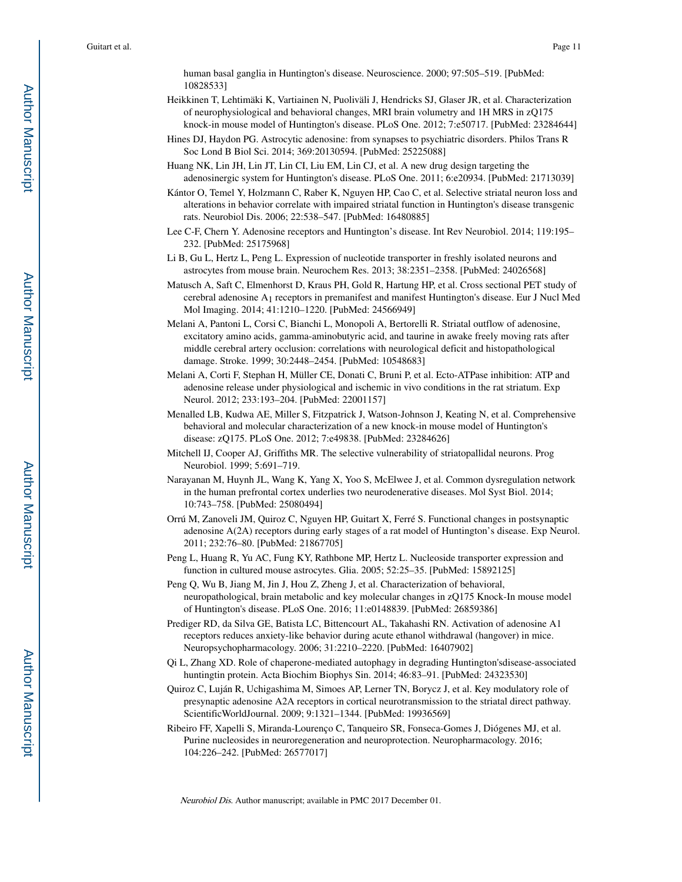human basal ganglia in Huntington's disease. Neuroscience. 2000; 97:505–519. [PubMed: 10828533]

- Heikkinen T, Lehtimäki K, Vartiainen N, Puoliväli J, Hendricks SJ, Glaser JR, et al. Characterization of neurophysiological and behavioral changes, MRI brain volumetry and 1H MRS in zQ175 knock-in mouse model of Huntington's disease. PLoS One. 2012; 7:e50717. [PubMed: 23284644]
- Hines DJ, Haydon PG. Astrocytic adenosine: from synapses to psychiatric disorders. Philos Trans R Soc Lond B Biol Sci. 2014; 369:20130594. [PubMed: 25225088]
- Huang NK, Lin JH, Lin JT, Lin CI, Liu EM, Lin CJ, et al. A new drug design targeting the adenosinergic system for Huntington's disease. PLoS One. 2011; 6:e20934. [PubMed: 21713039]
- Kántor O, Temel Y, Holzmann C, Raber K, Nguyen HP, Cao C, et al. Selective striatal neuron loss and alterations in behavior correlate with impaired striatal function in Huntington's disease transgenic rats. Neurobiol Dis. 2006; 22:538–547. [PubMed: 16480885]
- Lee C-F, Chern Y. Adenosine receptors and Huntington's disease. Int Rev Neurobiol. 2014; 119:195– 232. [PubMed: 25175968]
- Li B, Gu L, Hertz L, Peng L. Expression of nucleotide transporter in freshly isolated neurons and astrocytes from mouse brain. Neurochem Res. 2013; 38:2351–2358. [PubMed: 24026568]
- Matusch A, Saft C, Elmenhorst D, Kraus PH, Gold R, Hartung HP, et al. Cross sectional PET study of cerebral adenosine A1 receptors in premanifest and manifest Huntington's disease. Eur J Nucl Med Mol Imaging. 2014; 41:1210–1220. [PubMed: 24566949]
- Melani A, Pantoni L, Corsi C, Bianchi L, Monopoli A, Bertorelli R. Striatal outflow of adenosine, excitatory amino acids, gamma-aminobutyric acid, and taurine in awake freely moving rats after middle cerebral artery occlusion: correlations with neurological deficit and histopathological damage. Stroke. 1999; 30:2448–2454. [PubMed: 10548683]
- Melani A, Corti F, Stephan H, Müller CE, Donati C, Bruni P, et al. Ecto-ATPase inhibition: ATP and adenosine release under physiological and ischemic in vivo conditions in the rat striatum. Exp Neurol. 2012; 233:193–204. [PubMed: 22001157]
- Menalled LB, Kudwa AE, Miller S, Fitzpatrick J, Watson-Johnson J, Keating N, et al. Comprehensive behavioral and molecular characterization of a new knock-in mouse model of Huntington's disease: zQ175. PLoS One. 2012; 7:e49838. [PubMed: 23284626]
- Mitchell IJ, Cooper AJ, Griffiths MR. The selective vulnerability of striatopallidal neurons. Prog Neurobiol. 1999; 5:691–719.
- Narayanan M, Huynh JL, Wang K, Yang X, Yoo S, McElwee J, et al. Common dysregulation network in the human prefrontal cortex underlies two neurodenerative diseases. Mol Syst Biol. 2014; 10:743–758. [PubMed: 25080494]
- Orrú M, Zanoveli JM, Quiroz C, Nguyen HP, Guitart X, Ferré S. Functional changes in postsynaptic adenosine A(2A) receptors during early stages of a rat model of Huntington's disease. Exp Neurol. 2011; 232:76–80. [PubMed: 21867705]
- Peng L, Huang R, Yu AC, Fung KY, Rathbone MP, Hertz L. Nucleoside transporter expression and function in cultured mouse astrocytes. Glia. 2005; 52:25–35. [PubMed: 15892125]
- Peng Q, Wu B, Jiang M, Jin J, Hou Z, Zheng J, et al. Characterization of behavioral, neuropathological, brain metabolic and key molecular changes in zQ175 Knock-In mouse model of Huntington's disease. PLoS One. 2016; 11:e0148839. [PubMed: 26859386]
- Prediger RD, da Silva GE, Batista LC, Bittencourt AL, Takahashi RN. Activation of adenosine A1 receptors reduces anxiety-like behavior during acute ethanol withdrawal (hangover) in mice. Neuropsychopharmacology. 2006; 31:2210–2220. [PubMed: 16407902]
- Qi L, Zhang XD. Role of chaperone-mediated autophagy in degrading Huntington'sdisease-associated huntingtin protein. Acta Biochim Biophys Sin. 2014; 46:83–91. [PubMed: 24323530]
- Quiroz C, Luján R, Uchigashima M, Simoes AP, Lerner TN, Borycz J, et al. Key modulatory role of presynaptic adenosine A2A receptors in cortical neurotransmission to the striatal direct pathway. ScientificWorldJournal. 2009; 9:1321–1344. [PubMed: 19936569]
- Ribeiro FF, Xapelli S, Miranda-Lourenço C, Tanqueiro SR, Fonseca-Gomes J, Diógenes MJ, et al. Purine nucleosides in neuroregeneration and neuroprotection. Neuropharmacology. 2016; 104:226–242. [PubMed: 26577017]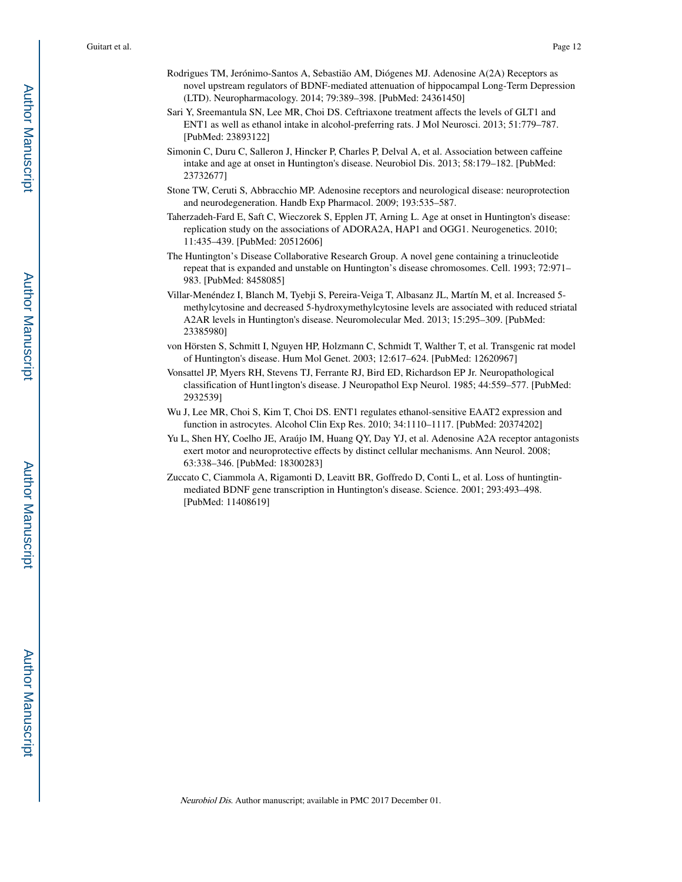- Rodrigues TM, Jerónimo-Santos A, Sebastião AM, Diógenes MJ. Adenosine A(2A) Receptors as novel upstream regulators of BDNF-mediated attenuation of hippocampal Long-Term Depression (LTD). Neuropharmacology. 2014; 79:389–398. [PubMed: 24361450]
- Sari Y, Sreemantula SN, Lee MR, Choi DS. Ceftriaxone treatment affects the levels of GLT1 and ENT1 as well as ethanol intake in alcohol-preferring rats. J Mol Neurosci. 2013; 51:779–787. [PubMed: 23893122]
- Simonin C, Duru C, Salleron J, Hincker P, Charles P, Delval A, et al. Association between caffeine intake and age at onset in Huntington's disease. Neurobiol Dis. 2013; 58:179–182. [PubMed: 23732677]
- Stone TW, Ceruti S, Abbracchio MP. Adenosine receptors and neurological disease: neuroprotection and neurodegeneration. Handb Exp Pharmacol. 2009; 193:535–587.
- Taherzadeh-Fard E, Saft C, Wieczorek S, Epplen JT, Arning L. Age at onset in Huntington's disease: replication study on the associations of ADORA2A, HAP1 and OGG1. Neurogenetics. 2010; 11:435–439. [PubMed: 20512606]
- The Huntington's Disease Collaborative Research Group. A novel gene containing a trinucleotide repeat that is expanded and unstable on Huntington's disease chromosomes. Cell. 1993; 72:971– 983. [PubMed: 8458085]
- Villar-Menéndez I, Blanch M, Tyebji S, Pereira-Veiga T, Albasanz JL, Martín M, et al. Increased 5 methylcytosine and decreased 5-hydroxymethylcytosine levels are associated with reduced striatal A2AR levels in Huntington's disease. Neuromolecular Med. 2013; 15:295–309. [PubMed: 23385980]
- von Hörsten S, Schmitt I, Nguyen HP, Holzmann C, Schmidt T, Walther T, et al. Transgenic rat model of Huntington's disease. Hum Mol Genet. 2003; 12:617–624. [PubMed: 12620967]
- Vonsattel JP, Myers RH, Stevens TJ, Ferrante RJ, Bird ED, Richardson EP Jr. Neuropathological classification of Hunt1ington's disease. J Neuropathol Exp Neurol. 1985; 44:559–577. [PubMed: 2932539]
- Wu J, Lee MR, Choi S, Kim T, Choi DS. ENT1 regulates ethanol-sensitive EAAT2 expression and function in astrocytes. Alcohol Clin Exp Res. 2010; 34:1110–1117. [PubMed: 20374202]
- Yu L, Shen HY, Coelho JE, Araújo IM, Huang QY, Day YJ, et al. Adenosine A2A receptor antagonists exert motor and neuroprotective effects by distinct cellular mechanisms. Ann Neurol. 2008; 63:338–346. [PubMed: 18300283]
- Zuccato C, Ciammola A, Rigamonti D, Leavitt BR, Goffredo D, Conti L, et al. Loss of huntingtinmediated BDNF gene transcription in Huntington's disease. Science. 2001; 293:493–498. [PubMed: 11408619]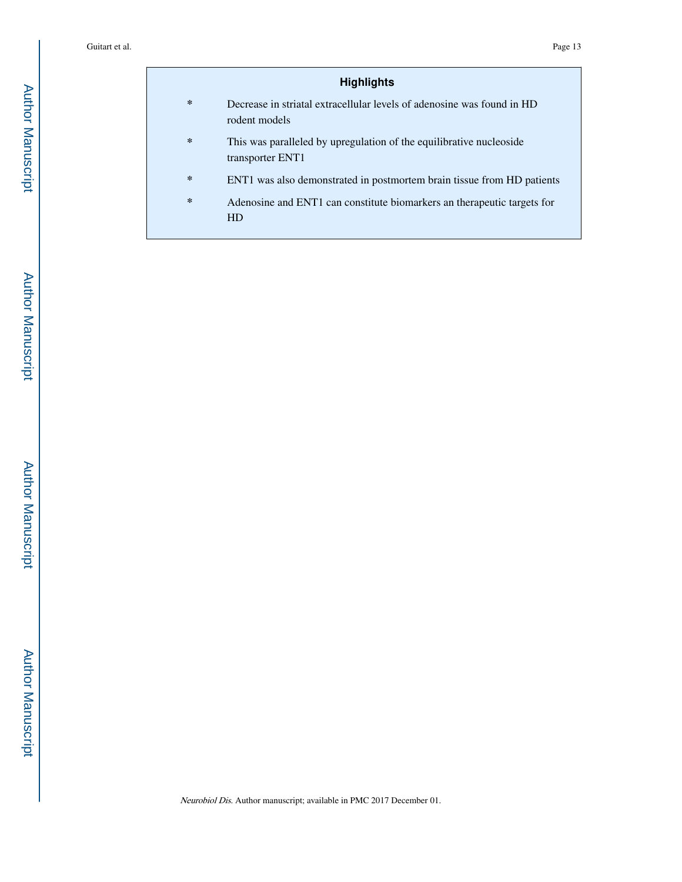# **Highlights**

- **\*** Decrease in striatal extracellular levels of adenosine was found in HD rodent models
- **\*** This was paralleled by upregulation of the equilibrative nucleoside transporter ENT1
- **\*** ENT1 was also demonstrated in postmortem brain tissue from HD patients
- **\*** Adenosine and ENT1 can constitute biomarkers an therapeutic targets for HD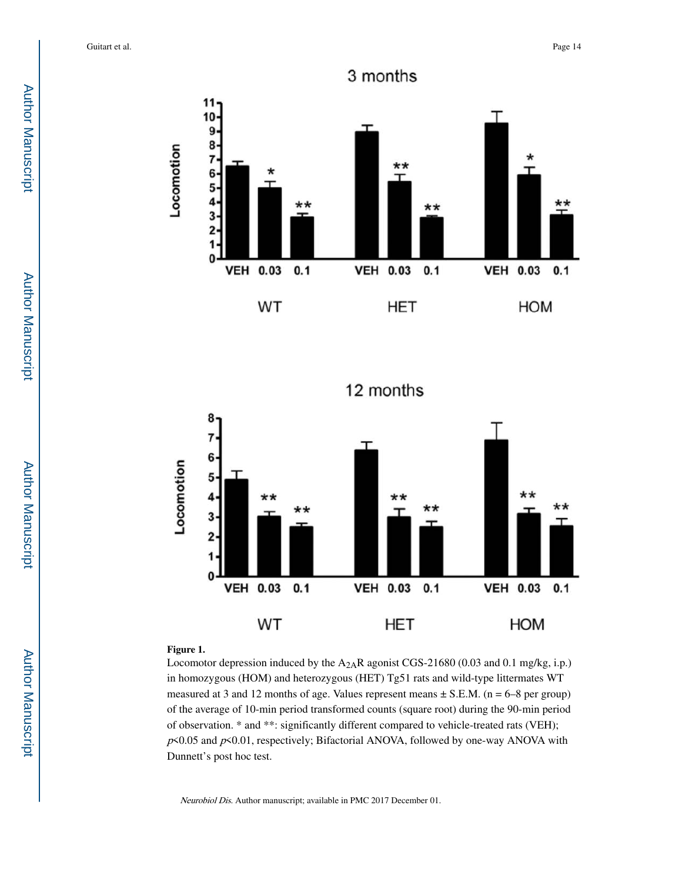

12 months



# **Figure 1.**

Locomotor depression induced by the  $A_{2A}R$  agonist CGS-21680 (0.03 and 0.1 mg/kg, i.p.) in homozygous (HOM) and heterozygous (HET) Tg51 rats and wild-type littermates WT measured at 3 and 12 months of age. Values represent means  $\pm$  S.E.M. (n = 6–8 per group) of the average of 10-min period transformed counts (square root) during the 90-min period of observation. \* and \*\*: significantly different compared to vehicle-treated rats (VEH);  $p$ <0.05 and  $p$ <0.01, respectively; Bifactorial ANOVA, followed by one-way ANOVA with Dunnett's post hoc test.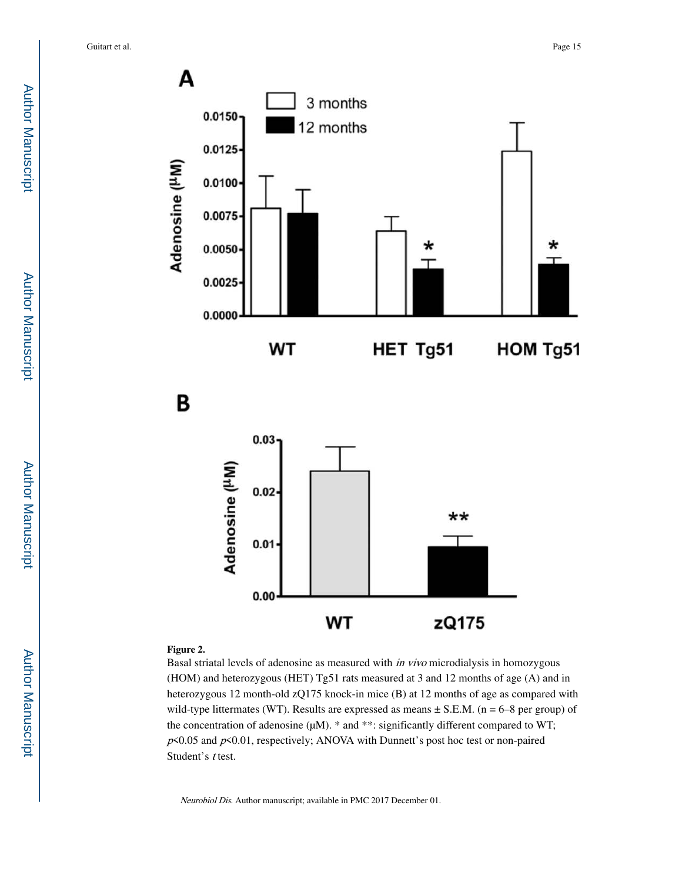





# **Figure 2.**

Basal striatal levels of adenosine as measured with in vivo microdialysis in homozygous (HOM) and heterozygous (HET) Tg51 rats measured at 3 and 12 months of age (A) and in heterozygous 12 month-old zQ175 knock-in mice (B) at 12 months of age as compared with wild-type littermates (WT). Results are expressed as means  $\pm$  S.E.M. (n = 6–8 per group) of the concentration of adenosine  $(\mu M)$ . \* and \*\*: significantly different compared to WT;  $p$ <0.05 and  $p$ <0.01, respectively; ANOVA with Dunnett's post hoc test or non-paired Student's t test.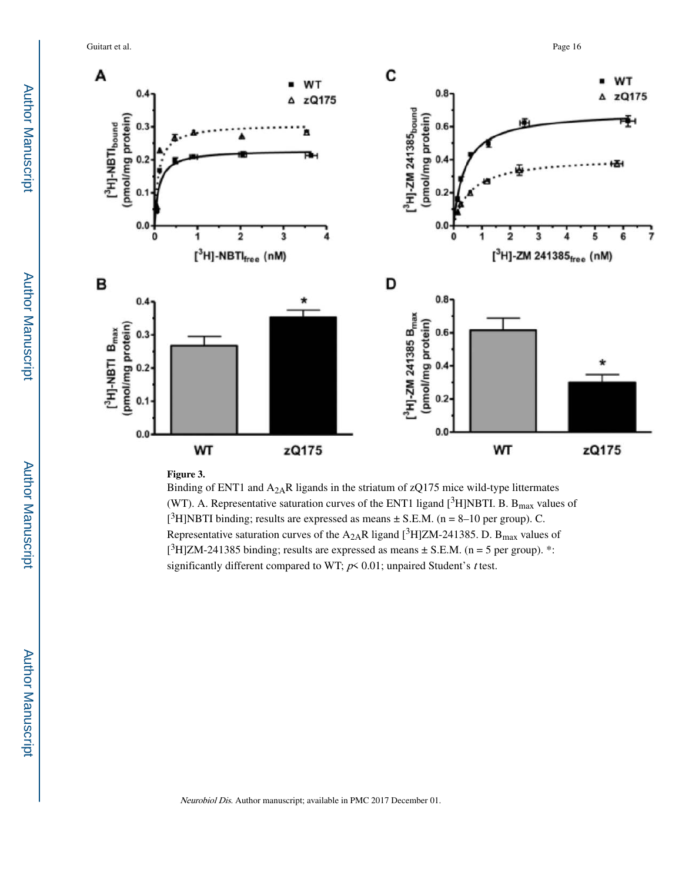Guitart et al. Page 16



#### **Figure 3.**

Binding of ENT1 and  $A_{2A}R$  ligands in the striatum of zQ175 mice wild-type littermates (WT). A. Representative saturation curves of the ENT1 ligand  $[{}^{3}H]$ NBTI. B. B<sub>max</sub> values of [<sup>3</sup>H]NBTI binding; results are expressed as means  $\pm$  S.E.M. (n = 8–10 per group). C. Representative saturation curves of the A<sub>2A</sub>R ligand [<sup>3</sup>H]ZM-241385. D. B<sub>max</sub> values of  $[^3H]ZM-241385$  binding; results are expressed as means  $\pm$  S.E.M. (n = 5 per group). \*: significantly different compared to WT;  $p \le 0.01$ ; unpaired Student's t test.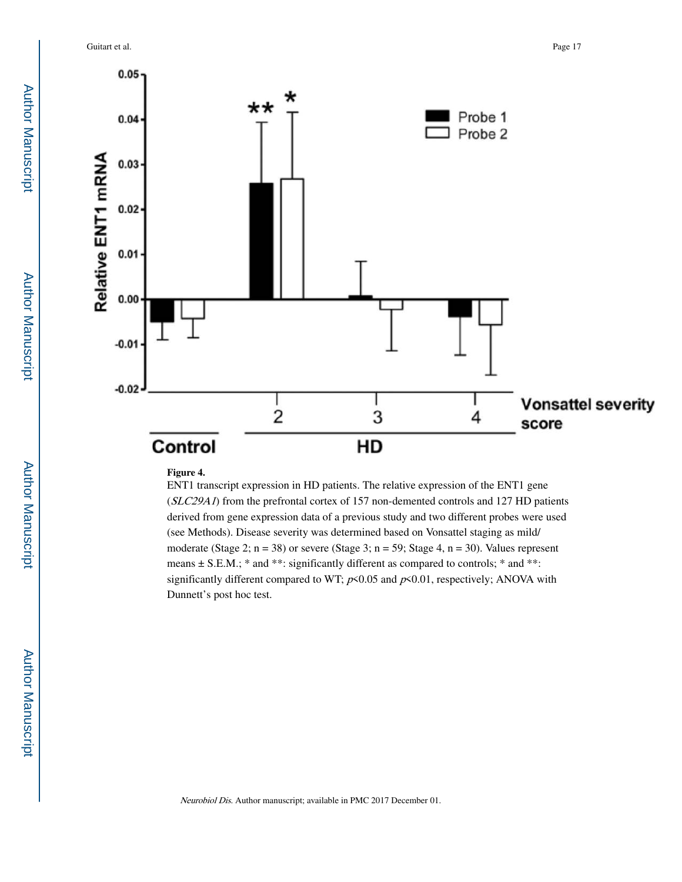Guitart et al. Page 17



# **Figure 4.**

ENT1 transcript expression in HD patients. The relative expression of the ENT1 gene (SLC29A1) from the prefrontal cortex of 157 non-demented controls and 127 HD patients derived from gene expression data of a previous study and two different probes were used (see Methods). Disease severity was determined based on Vonsattel staging as mild/ moderate (Stage 2;  $n = 38$ ) or severe (Stage 3;  $n = 59$ ; Stage 4,  $n = 30$ ). Values represent means  $\pm$  S.E.M.; \* and \*\*: significantly different as compared to controls; \* and \*\*: significantly different compared to WT;  $p \le 0.05$  and  $p \le 0.01$ , respectively; ANOVA with Dunnett's post hoc test.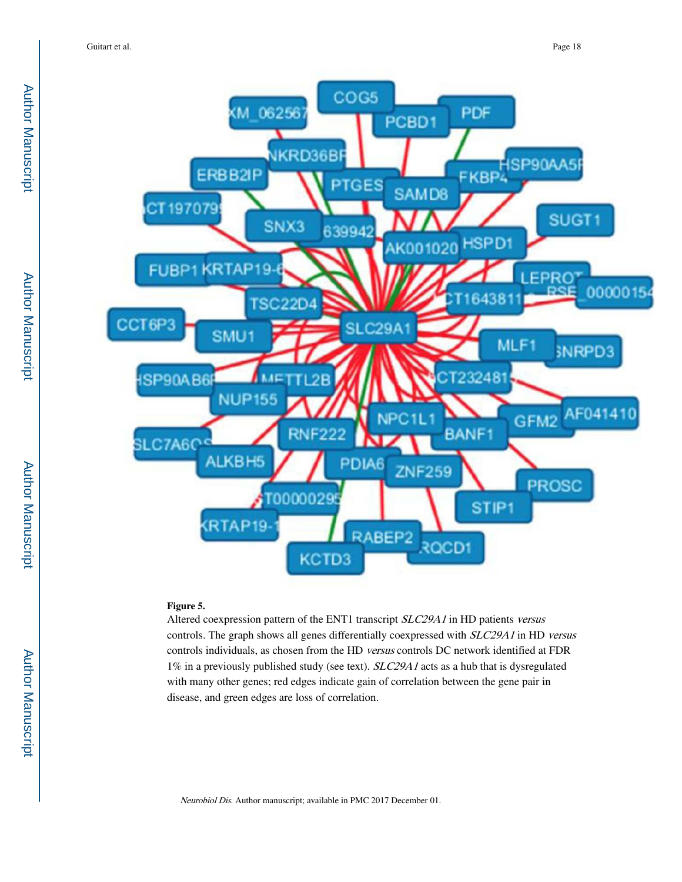

## **Figure 5.**

Altered coexpression pattern of the ENT1 transcript SLC29A1 in HD patients versus controls. The graph shows all genes differentially coexpressed with SLC29A1 in HD versus controls individuals, as chosen from the HD versus controls DC network identified at FDR 1% in a previously published study (see text).  $SLC29A1$  acts as a hub that is dysregulated with many other genes; red edges indicate gain of correlation between the gene pair in disease, and green edges are loss of correlation.